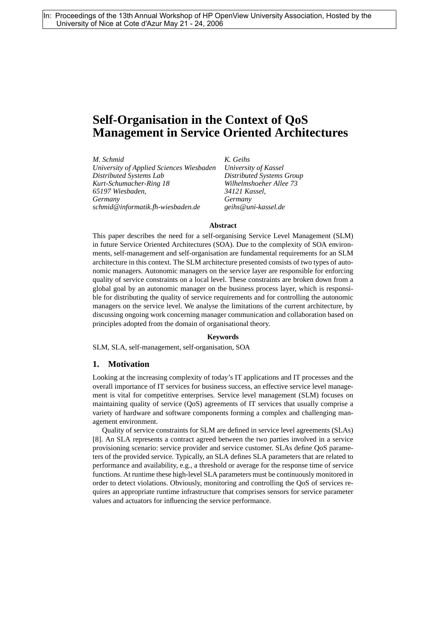# **Self-Organisation in the Context of QoS Management in Service Oriented Architectures**

*M. Schmid University of Applied Sciences Wiesbaden Distributed Systems Lab Kurt-Schumacher-Ring 18 65197 Wiesbaden, Germany schmid@informatik.fh-wiesbaden.de*

*K. Geihs University of Kassel Distributed Systems Group Wilhelmshoeher Allee 73 34121 Kassel, Germany geihs@uni-kassel.de*

#### **Abstract**

This paper describes the need for a self-organising Service Level Management (SLM) in future Service Oriented Architectures (SOA). Due to the complexity of SOA environments, self-management and self-organisation are fundamental requirements for an SLM architecture in this context. The SLM architecture presented consists of two types of autonomic managers. Autonomic managers on the service layer are responsible for enforcing quality of service constraints on a local level. These constraints are broken down from a global goal by an autonomic manager on the business process layer, which is responsible for distributing the quality of service requirements and for controlling the autonomic managers on the service level. We analyse the limitations of the current architecture, by discussing ongoing work concerning manager communication and collaboration based on principles adopted from the domain of organisational theory.

#### **Keywords**

SLM, SLA, self-management, self-organisation, SOA

## **1. Motivation**

Looking at the increasing complexity of today's IT applications and IT processes and the overall importance of IT services for business success, an effective service level management is vital for competitive enterprises. Service level management (SLM) focuses on maintaining quality of service (QoS) agreements of IT services that usually comprise a variety of hardware and software components forming a complex and challenging management environment.

Quality of service constraints for SLM are defined in service level agreements (SLAs) [8]. An SLA represents a contract agreed between the two parties involved in a service provisioning scenario: service provider and service customer. SLAs define QoS parameters of the provided service. Typically, an SLA defines SLA parameters that are related to performance and availability, e.g., a threshold or average for the response time of service functions. At runtime these high-level SLA parameters must be continuously monitored in order to detect violations. Obviously, monitoring and controlling the QoS of services requires an appropriate runtime infrastructure that comprises sensors for service parameter values and actuators for influencing the service performance.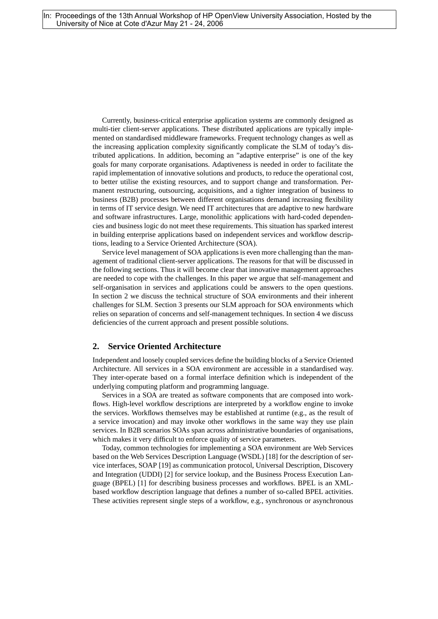Currently, business-critical enterprise application systems are commonly designed as multi-tier client-server applications. These distributed applications are typically implemented on standardised middleware frameworks. Frequent technology changes as well as the increasing application complexity significantly complicate the SLM of today's distributed applications. In addition, becoming an "adaptive enterprise" is one of the key goals for many corporate organisations. Adaptiveness is needed in order to facilitate the rapid implementation of innovative solutions and products, to reduce the operational cost, to better utilise the existing resources, and to support change and transformation. Permanent restructuring, outsourcing, acquisitions, and a tighter integration of business to business (B2B) processes between different organisations demand increasing flexibility in terms of IT service design. We need IT architectures that are adaptive to new hardware and software infrastructures. Large, monolithic applications with hard-coded dependencies and business logic do not meet these requirements. This situation has sparked interest in building enterprise applications based on independent services and workflow descriptions, leading to a Service Oriented Architecture (SOA).

Service level management of SOA applications is even more challenging than the management of traditional client-server applications. The reasons for that will be discussed in the following sections. Thus it will become clear that innovative management approaches are needed to cope with the challenges. In this paper we argue that self-management and self-organisation in services and applications could be answers to the open questions. In section 2 we discuss the technical structure of SOA environments and their inherent challenges for SLM. Section 3 presents our SLM approach for SOA environments which relies on separation of concerns and self-management techniques. In section 4 we discuss deficiencies of the current approach and present possible solutions.

# **2. Service Oriented Architecture**

Independent and loosely coupled services define the building blocks of a Service Oriented Architecture. All services in a SOA environment are accessible in a standardised way. They inter-operate based on a formal interface definition which is independent of the underlying computing platform and programming language.

Services in a SOA are treated as software components that are composed into workflows. High-level workflow descriptions are interpreted by a workflow engine to invoke the services. Workflows themselves may be established at runtime (e.g., as the result of a service invocation) and may invoke other workflows in the same way they use plain services. In B2B scenarios SOAs span across administrative boundaries of organisations, which makes it very difficult to enforce quality of service parameters.

Today, common technologies for implementing a SOA environment are Web Services based on the Web Services Description Language (WSDL) [18] for the description of service interfaces, SOAP [19] as communication protocol, Universal Description, Discovery and Integration (UDDI) [2] for service lookup, and the Business Process Execution Language (BPEL) [1] for describing business processes and workflows. BPEL is an XMLbased workflow description language that defines a number of so-called BPEL activities. These activities represent single steps of a workflow, e.g., synchronous or asynchronous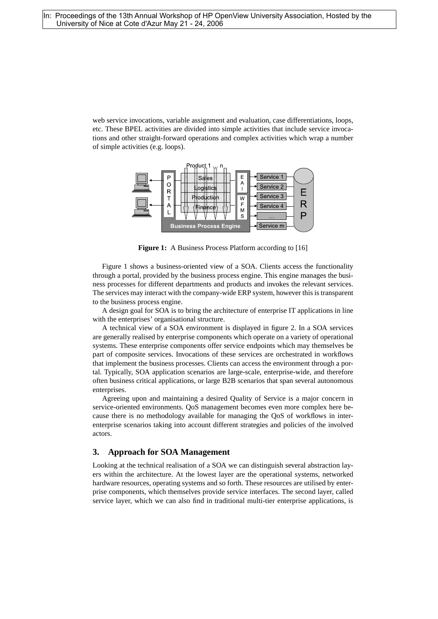web service invocations, variable assignment and evaluation, case differentiations, loops, etc. These BPEL activities are divided into simple activities that include service invocations and other straight-forward operations and complex activities which wrap a number of simple activities (e.g. loops).



**Figure 1:** A Business Process Platform according to [16]

Figure 1 shows a business-oriented view of a SOA. Clients access the functionality through a portal, provided by the business process engine. This engine manages the business processes for different departments and products and invokes the relevant services. The services may interact with the company-wide ERP system, however this is transparent to the business process engine.

A design goal for SOA is to bring the architecture of enterprise IT applications in line with the enterprises' organisational structure.

A technical view of a SOA environment is displayed in figure 2. In a SOA services are generally realised by enterprise components which operate on a variety of operational systems. These enterprise components offer service endpoints which may themselves be part of composite services. Invocations of these services are orchestrated in workflows that implement the business processes. Clients can access the environment through a portal. Typically, SOA application scenarios are large-scale, enterprise-wide, and therefore often business critical applications, or large B2B scenarios that span several autonomous enterprises.

Agreeing upon and maintaining a desired Quality of Service is a major concern in service-oriented environments. QoS management becomes even more complex here because there is no methodology available for managing the QoS of workflows in interenterprise scenarios taking into account different strategies and policies of the involved actors.

# **3. Approach for SOA Management**

Looking at the technical realisation of a SOA we can distinguish several abstraction layers within the architecture. At the lowest layer are the operational systems, networked hardware resources, operating systems and so forth. These resources are utilised by enterprise components, which themselves provide service interfaces. The second layer, called service layer, which we can also find in traditional multi-tier enterprise applications, is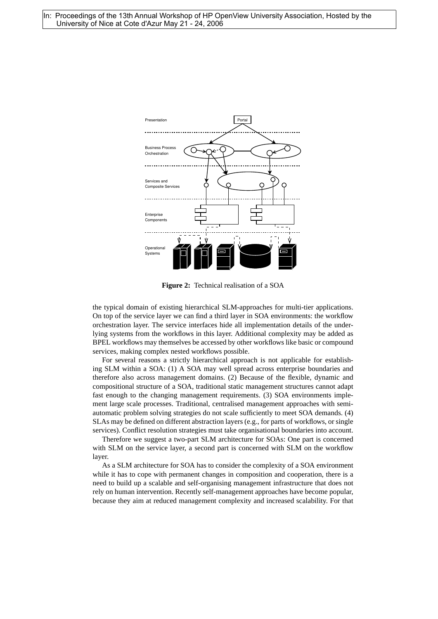

**Figure 2:** Technical realisation of a SOA

the typical domain of existing hierarchical SLM-approaches for multi-tier applications. On top of the service layer we can find a third layer in SOA environments: the workflow orchestration layer. The service interfaces hide all implementation details of the underlying systems from the workflows in this layer. Additional complexity may be added as BPEL workflows may themselves be accessed by other workflows like basic or compound services, making complex nested workflows possible.

For several reasons a strictly hierarchical approach is not applicable for establishing SLM within a SOA: (1) A SOA may well spread across enterprise boundaries and therefore also across management domains. (2) Because of the flexible, dynamic and compositional structure of a SOA, traditional static management structures cannot adapt fast enough to the changing management requirements. (3) SOA environments implement large scale processes. Traditional, centralised management approaches with semiautomatic problem solving strategies do not scale sufficiently to meet SOA demands. (4) SLAs may be defined on different abstraction layers (e.g., for parts of workflows, or single services). Conflict resolution strategies must take organisational boundaries into account.

Therefore we suggest a two-part SLM architecture for SOAs: One part is concerned with SLM on the service layer, a second part is concerned with SLM on the workflow layer.

As a SLM architecture for SOA has to consider the complexity of a SOA environment while it has to cope with permanent changes in composition and cooperation, there is a need to build up a scalable and self-organising management infrastructure that does not rely on human intervention. Recently self-management approaches have become popular, because they aim at reduced management complexity and increased scalability. For that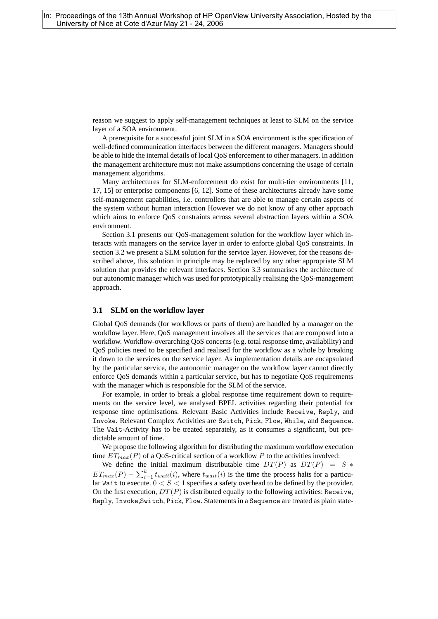reason we suggest to apply self-management techniques at least to SLM on the service layer of a SOA environment.

A prerequisite for a successful joint SLM in a SOA environment is the specification of well-defined communication interfaces between the different managers. Managers should be able to hide the internal details of local QoS enforcement to other managers. In addition the management architecture must not make assumptions concerning the usage of certain management algorithms.

Many architectures for SLM-enforcement do exist for multi-tier environments [11, 17, 15] or enterprise components [6, 12]. Some of these architectures already have some self-management capabilities, i.e. controllers that are able to manage certain aspects of the system without human interaction However we do not know of any other approach which aims to enforce QoS constraints across several abstraction layers within a SOA environment.

Section 3.1 presents our QoS-management solution for the workflow layer which interacts with managers on the service layer in order to enforce global QoS constraints. In section 3.2 we present a SLM solution for the service layer. However, for the reasons described above, this solution in principle may be replaced by any other appropriate SLM solution that provides the relevant interfaces. Section 3.3 summarises the architecture of our autonomic manager which was used for prototypically realising the QoS-management approach.

## **3.1 SLM on the workflow layer**

Global QoS demands (for workflows or parts of them) are handled by a manager on the workflow layer. Here, QoS management involves all the services that are composed into a workflow. Workflow-overarching QoS concerns (e.g. total response time, availability) and QoS policies need to be specified and realised for the workflow as a whole by breaking it down to the services on the service layer. As implementation details are encapsulated by the particular service, the autonomic manager on the workflow layer cannot directly enforce QoS demands within a particular service, but has to negotiate QoS requirements with the manager which is responsible for the SLM of the service.

For example, in order to break a global response time requirement down to requirements on the service level, we analysed BPEL activities regarding their potential for response time optimisations. Relevant Basic Activities include Receive, Reply, and Invoke. Relevant Complex Activities are Switch, Pick, Flow, While, and Sequence. The Wait-Activity has to be treated separately, as it consumes a significant, but predictable amount of time.

We propose the following algorithm for distributing the maximum workflow execution time  $ET_{max}(P)$  of a OoS-critical section of a workflow P to the activities involved:

We define the initial maximum distributable time  $DT(P)$  as  $DT(P) = S *$  $ET_{max}(P) - \sum_{i=1}^{k} t_{wait}(i)$ , where  $t_{wait}(i)$  is the time the process halts for a particular Wait to execute.  $0 < S < 1$  specifies a safety overhead to be defined by the provider. On the first execution,  $DT(P)$  is distributed equally to the following activities: Receive, Reply, Invoke,Switch, Pick, Flow. Statements in a Sequence are treated as plain state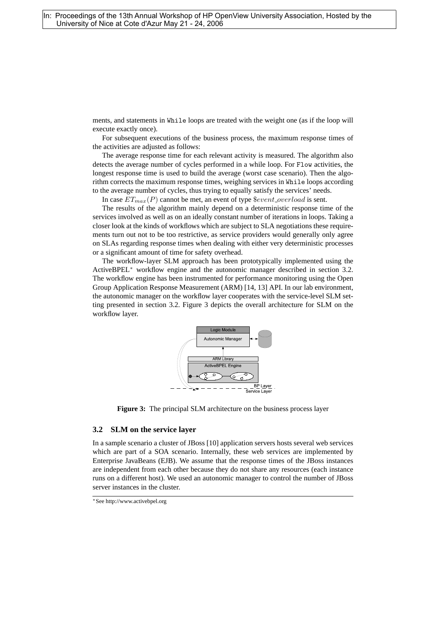ments, and statements in While loops are treated with the weight one (as if the loop will execute exactly once).

For subsequent executions of the business process, the maximum response times of the activities are adjusted as follows:

The average response time for each relevant activity is measured. The algorithm also detects the average number of cycles performed in a while loop. For Flow activities, the longest response time is used to build the average (worst case scenario). Then the algorithm corrects the maximum response times, weighing services in While loops according to the average number of cycles, thus trying to equally satisfy the services' needs.

In case  $ET_{max}(P)$  cannot be met, an event of type  $$event_overload$$  is sent.

The results of the algorithm mainly depend on a deterministic response time of the services involved as well as on an ideally constant number of iterations in loops. Taking a closer look at the kinds of workflows which are subject to SLA negotiations these requirements turn out not to be too restrictive, as service providers would generally only agree on SLAs regarding response times when dealing with either very deterministic processes or a significant amount of time for safety overhead.

The workflow-layer SLM approach has been prototypically implemented using the ActiveBPEL<sup>∗</sup> workflow engine and the autonomic manager described in section 3.2. The workflow engine has been instrumented for performance monitoring using the Open Group Application Response Measurement (ARM) [14, 13] API. In our lab environment, the autonomic manager on the workflow layer cooperates with the service-level SLM setting presented in section 3.2. Figure 3 depicts the overall architecture for SLM on the workflow layer.



**Figure 3:** The principal SLM architecture on the business process layer

## **3.2 SLM on the service layer**

In a sample scenario a cluster of JBoss [10] application servers hosts several web services which are part of a SOA scenario. Internally, these web services are implemented by Enterprise JavaBeans (EJB). We assume that the response times of the JBoss instances are independent from each other because they do not share any resources (each instance runs on a different host). We used an autonomic manager to control the number of JBoss server instances in the cluster.

<sup>∗</sup>See http://www.activebpel.org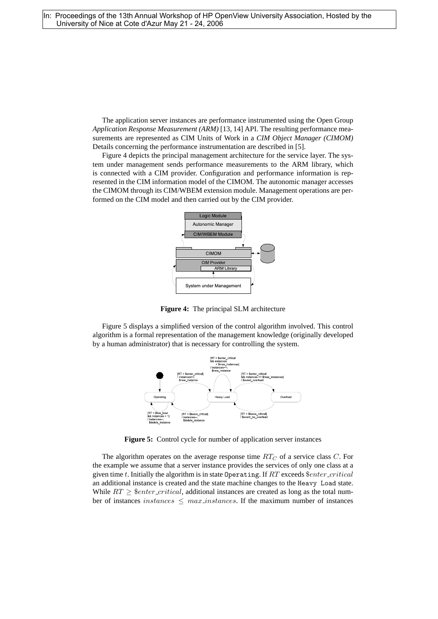The application server instances are performance instrumented using the Open Group *Application Response Measurement (ARM)* [13, 14] API. The resulting performance measurements are represented as CIM Units of Work in a *CIM Object Manager (CIMOM)* Details concerning the performance instrumentation are described in [5].

Figure 4 depicts the principal management architecture for the service layer. The system under management sends performance measurements to the ARM library, which is connected with a CIM provider. Configuration and performance information is represented in the CIM information model of the CIMOM. The autonomic manager accesses the CIMOM through its CIM/WBEM extension module. Management operations are performed on the CIM model and then carried out by the CIM provider.



**Figure 4:** The principal SLM architecture

Figure 5 displays a simplified version of the control algorithm involved. This control algorithm is a formal representation of the management knowledge (originally developed by a human administrator) that is necessary for controlling the system.



**Figure 5:** Control cycle for number of application server instances

The algorithm operates on the average response time  $RT_C$  of a service class C. For the example we assume that a server instance provides the services of only one class at a given time t. Initially the algorithm is in state Operating. If  $RT$  exceeds  $$enter\_critical$ an additional instance is created and the state machine changes to the Heavy Load state. While  $RT \geq$  \$*enter\_critical*, additional instances are created as long as the total number of instances instances  $\leq$  max instances. If the maximum number of instances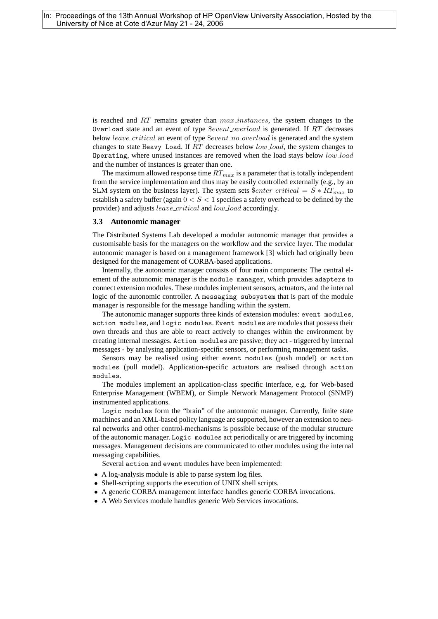is reached and  $RT$  remains greater than  $max_instances$ , the system changes to the Overload state and an event of type \$event overload is generated. If RT decreases below *leave\_critical* an event of type  $$event-no-overload$  is generated and the system changes to state Heavy Load. If RT decreases below low\_load, the system changes to Operating, where unused instances are removed when the load stays below low\_load and the number of instances is greater than one.

The maximum allowed response time  $RT_{max}$  is a parameter that is totally independent from the service implementation and thus may be easily controlled externally (e.g., by an SLM system on the business layer). The system sets  $$enter\_critical = S * RT_{max}$  to establish a safety buffer (again  $0 < S < 1$  specifies a safety overhead to be defined by the provider) and adjusts *leave\_critical* and *low\_load* accordingly.

#### **3.3 Autonomic manager**

The Distributed Systems Lab developed a modular autonomic manager that provides a customisable basis for the managers on the workflow and the service layer. The modular autonomic manager is based on a management framework [3] which had originally been designed for the management of CORBA-based applications.

Internally, the autonomic manager consists of four main components: The central element of the autonomic manager is the module manager, which provides adapters to connect extension modules. These modules implement sensors, actuators, and the internal logic of the autonomic controller. A messaging subsystem that is part of the module manager is responsible for the message handling within the system.

The autonomic manager supports three kinds of extension modules: event modules, action modules, and logic modules. Event modules are modules that possess their own threads and thus are able to react actively to changes within the environment by creating internal messages. Action modules are passive; they act - triggered by internal messages - by analysing application-specific sensors, or performing management tasks.

Sensors may be realised using either event modules (push model) or action modules (pull model). Application-specific actuators are realised through action modules.

The modules implement an application-class specific interface, e.g. for Web-based Enterprise Management (WBEM), or Simple Network Management Protocol (SNMP) instrumented applications.

Logic modules form the "brain" of the autonomic manager. Currently, finite state machines and an XML-based policy language are supported, however an extension to neural networks and other control-mechanisms is possible because of the modular structure of the autonomic manager. Logic modules act periodically or are triggered by incoming messages. Management decisions are communicated to other modules using the internal messaging capabilities.

Several action and event modules have been implemented:

- A log-analysis module is able to parse system log files.
- Shell-scripting supports the execution of UNIX shell scripts.
- A generic CORBA management interface handles generic CORBA invocations.
- A Web Services module handles generic Web Services invocations.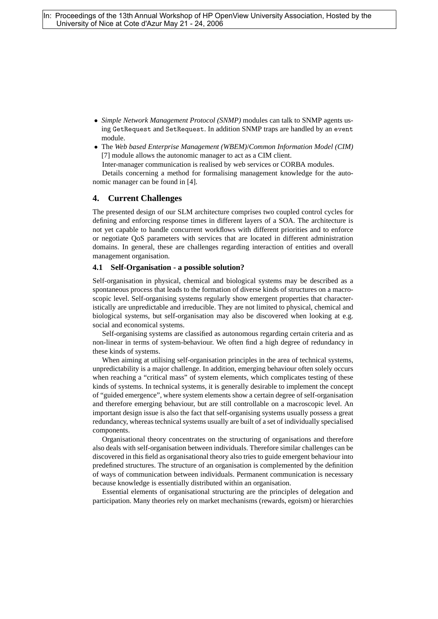- *Simple Network Management Protocol (SNMP)* modules can talk to SNMP agents using GetRequest and SetRequest. In addition SNMP traps are handled by an event module.
- The *Web based Enterprise Management (WBEM)*/*Common Information Model (CIM)* [7] module allows the autonomic manager to act as a CIM client.

Inter-manager communication is realised by web services or CORBA modules.

Details concerning a method for formalising management knowledge for the autonomic manager can be found in [4].

# **4. Current Challenges**

The presented design of our SLM architecture comprises two coupled control cycles for defining and enforcing response times in different layers of a SOA. The architecture is not yet capable to handle concurrent workflows with different priorities and to enforce or negotiate QoS parameters with services that are located in different administration domains. In general, these are challenges regarding interaction of entities and overall management organisation.

#### **4.1 Self-Organisation - a possible solution?**

Self-organisation in physical, chemical and biological systems may be described as a spontaneous process that leads to the formation of diverse kinds of structures on a macroscopic level. Self-organising systems regularly show emergent properties that characteristically are unpredictable and irreducible. They are not limited to physical, chemical and biological systems, but self-organisation may also be discovered when looking at e.g. social and economical systems.

Self-organising systems are classified as autonomous regarding certain criteria and as non-linear in terms of system-behaviour. We often find a high degree of redundancy in these kinds of systems.

When aiming at utilising self-organisation principles in the area of technical systems, unpredictability is a major challenge. In addition, emerging behaviour often solely occurs when reaching a "critical mass" of system elements, which complicates testing of these kinds of systems. In technical systems, it is generally desirable to implement the concept of "guided emergence", where system elements show a certain degree of self-organisation and therefore emerging behaviour, but are still controllable on a macroscopic level. An important design issue is also the fact that self-organising systems usually possess a great redundancy, whereas technical systems usually are built of a set of individually specialised components.

Organisational theory concentrates on the structuring of organisations and therefore also deals with self-organisation between individuals. Therefore similar challenges can be discovered in this field as organisational theory also tries to guide emergent behaviour into predefined structures. The structure of an organisation is complemented by the definition of ways of communication between individuals. Permanent communication is necessary because knowledge is essentially distributed within an organisation.

Essential elements of organisational structuring are the principles of delegation and participation. Many theories rely on market mechanisms (rewards, egoism) or hierarchies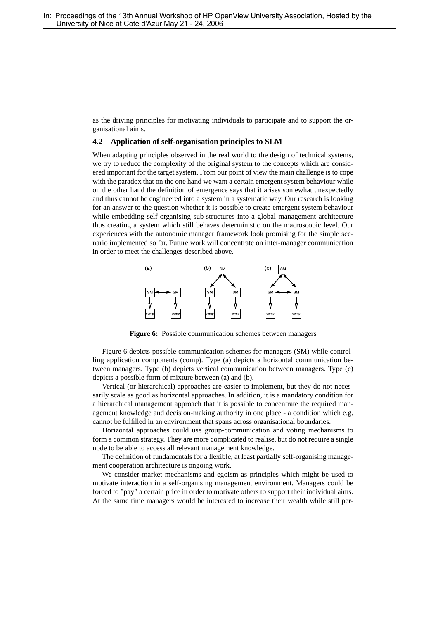as the driving principles for motivating individuals to participate and to support the organisational aims.

#### **4.2 Application of self-organisation principles to SLM**

When adapting principles observed in the real world to the design of technical systems, we try to reduce the complexity of the original system to the concepts which are considered important for the target system. From our point of view the main challenge is to cope with the paradox that on the one hand we want a certain emergent system behaviour while on the other hand the definition of emergence says that it arises somewhat unexpectedly and thus cannot be engineered into a system in a systematic way. Our research is looking for an answer to the question whether it is possible to create emergent system behaviour while embedding self-organising sub-structures into a global management architecture thus creating a system which still behaves deterministic on the macroscopic level. Our experiences with the autonomic manager framework look promising for the simple scenario implemented so far. Future work will concentrate on inter-manager communication in order to meet the challenges described above.



**Figure 6:** Possible communication schemes between managers

Figure 6 depicts possible communication schemes for managers (SM) while controlling application components (comp). Type (a) depicts a horizontal communication between managers. Type (b) depicts vertical communication between managers. Type (c) depicts a possible form of mixture between (a) and (b).

Vertical (or hierarchical) approaches are easier to implement, but they do not necessarily scale as good as horizontal approaches. In addition, it is a mandatory condition for a hierarchical management approach that it is possible to concentrate the required management knowledge and decision-making authority in one place - a condition which e.g. cannot be fulfilled in an environment that spans across organisational boundaries.

Horizontal approaches could use group-communication and voting mechanisms to form a common strategy. They are more complicated to realise, but do not require a single node to be able to access all relevant management knowledge.

The definition of fundamentals for a flexible, at least partially self-organising management cooperation architecture is ongoing work.

We consider market mechanisms and egoism as principles which might be used to motivate interaction in a self-organising management environment. Managers could be forced to "pay" a certain price in order to motivate others to support their individual aims. At the same time managers would be interested to increase their wealth while still per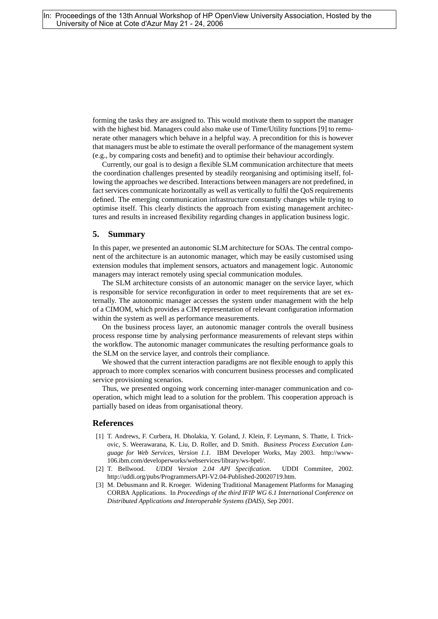forming the tasks they are assigned to. This would motivate them to support the manager with the highest bid. Managers could also make use of Time/Utility functions [9] to remunerate other managers which behave in a helpful way. A precondition for this is however that managers must be able to estimate the overall performance of the management system (e.g., by comparing costs and benefit) and to optimise their behaviour accordingly.

Currently, our goal is to design a flexible SLM communication architecture that meets the coordination challenges presented by steadily reorganising and optimising itself, following the approaches we described. Interactions between managers are not predefined, in fact services communicate horizontally as well as vertically to fulfil the QoS requirements defined. The emerging communication infrastructure constantly changes while trying to optimise itself. This clearly distincts the approach from existing management architectures and results in increased flexibility regarding changes in application business logic.

#### **5. Summary**

In this paper, we presented an autonomic SLM architecture for SOAs. The central component of the architecture is an autonomic manager, which may be easily customised using extension modules that implement sensors, actuators and management logic. Autonomic managers may interact remotely using special communication modules.

The SLM architecture consists of an autonomic manager on the service layer, which is responsible for service reconfiguration in order to meet requirements that are set externally. The autonomic manager accesses the system under management with the help of a CIMOM, which provides a CIM representation of relevant configuration information within the system as well as performance measurements.

On the business process layer, an autonomic manager controls the overall business process response time by analysing performance measurements of relevant steps within the workflow. The autonomic manager communicates the resulting performance goals to the SLM on the service layer, and controls their compliance.

We showed that the current interaction paradigms are not flexible enough to apply this approach to more complex scenarios with concurrent business processes and complicated service provisioning scenarios.

Thus, we presented ongoing work concerning inter-manager communication and cooperation, which might lead to a solution for the problem. This cooperation approach is partially based on ideas from organisational theory.

# **References**

- [1] T. Andrews, F. Curbera, H. Dholakia, Y. Goland, J. Klein, F. Leymann, S. Thatte, I. Trickovic, S. Weerawarana, K. Liu, D. Roller, and D. Smith. *Business Process Execution Language for Web Services, Version 1.1.* IBM Developer Works, May 2003. http://www-106.ibm.com/developerworks/webservices/library/ws-bpel/.
- [2] T. Bellwood. *UDDI Version 2.04 API Specification*. UDDI Commitee, 2002. http://uddi.org/pubs/ProgrammersAPI-V2.04-Published-20020719.htm.
- [3] M. Debusmann and R. Kroeger. Widening Traditional Management Platforms for Managing CORBA Applications. In *Proceedings of the third IFIP WG 6.1 International Conference on Distributed Applications and Interoperable Systems (DAIS)*, Sep 2001.